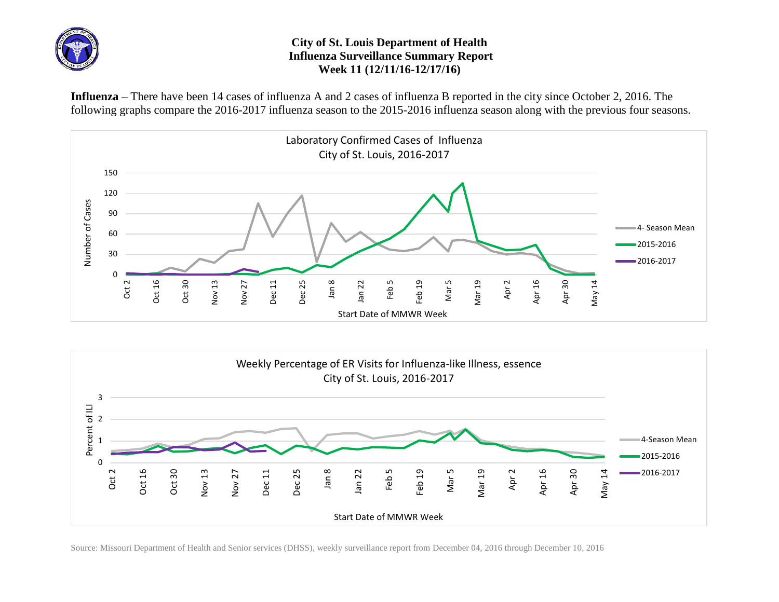

## **City of St. Louis Department of Health Influenza Surveillance Summary Report Week 11 (12/11/16-12/17/16)**

**Influenza** – There have been 14 cases of influenza A and 2 cases of influenza B reported in the city since October 2, 2016. The following graphs compare the 2016-2017 influenza season to the 2015-2016 influenza season along with the previous four seasons.





Source: Missouri Department of Health and Senior services (DHSS), weekly surveillance report from December 04, 2016 through December 10, 2016